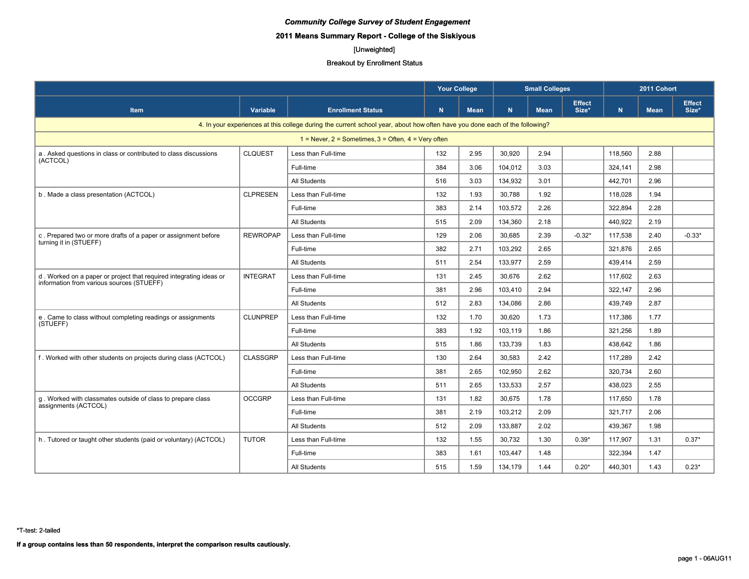# **2011 Means Summary Report - College of the Siskiyous**

# [Unweighted]

#### Breakout by Enrollment Status

|                                                                                                                 |                 |                                                                                                                             | <b>Your College</b> |             |         | <b>Small Colleges</b> |                        | 2011 Cohort |             |                        |
|-----------------------------------------------------------------------------------------------------------------|-----------------|-----------------------------------------------------------------------------------------------------------------------------|---------------------|-------------|---------|-----------------------|------------------------|-------------|-------------|------------------------|
| <b>Item</b>                                                                                                     | Variable        | <b>Enrollment Status</b>                                                                                                    | N.                  | <b>Mean</b> | N.      | <b>Mean</b>           | <b>Effect</b><br>Size* | N           | <b>Mean</b> | <b>Effect</b><br>Size* |
|                                                                                                                 |                 | 4. In your experiences at this college during the current school year, about how often have you done each of the following? |                     |             |         |                       |                        |             |             |                        |
|                                                                                                                 |                 | $1 =$ Never, 2 = Sometimes, 3 = Often, 4 = Very often                                                                       |                     |             |         |                       |                        |             |             |                        |
| a. Asked questions in class or contributed to class discussions                                                 | <b>CLQUEST</b>  | Less than Full-time                                                                                                         | 132                 | 2.95        | 30.920  | 2.94                  |                        | 118.560     | 2.88        |                        |
| (ACTCOL)                                                                                                        |                 | Full-time                                                                                                                   | 384                 | 3.06        | 104,012 | 3.03                  |                        | 324,141     | 2.98        |                        |
|                                                                                                                 |                 | <b>All Students</b>                                                                                                         | 516                 | 3.03        | 134,932 | 3.01                  |                        | 442.701     | 2.96        |                        |
| b. Made a class presentation (ACTCOL)                                                                           | <b>CLPRESEN</b> | Less than Full-time                                                                                                         | 132                 | 1.93        | 30,788  | 1.92                  |                        | 118,028     | 1.94        |                        |
|                                                                                                                 |                 | Full-time                                                                                                                   | 383                 | 2.14        | 103.572 | 2.26                  |                        | 322.894     | 2.28        |                        |
|                                                                                                                 |                 | <b>All Students</b>                                                                                                         | 515                 | 2.09        | 134.360 | 2.18                  |                        | 440.922     | 2.19        |                        |
| c. Prepared two or more drafts of a paper or assignment before                                                  | <b>REWROPAP</b> | Less than Full-time                                                                                                         | 129                 | 2.06        | 30,685  | 2.39                  | $-0.32*$               | 117.538     | 2.40        | $-0.33*$               |
| turning it in (STUEFF)                                                                                          |                 | Full-time                                                                                                                   | 382                 | 2.71        | 103.292 | 2.65                  |                        | 321,876     | 2.65        |                        |
|                                                                                                                 |                 | <b>All Students</b>                                                                                                         | 511                 | 2.54        | 133.977 | 2.59                  |                        | 439.414     | 2.59        |                        |
| d. Worked on a paper or project that required integrating ideas or<br>information from various sources (STUEFF) | <b>INTEGRAT</b> | Less than Full-time                                                                                                         | 131                 | 2.45        | 30,676  | 2.62                  |                        | 117,602     | 2.63        |                        |
|                                                                                                                 |                 | Full-time                                                                                                                   | 381                 | 2.96        | 103.410 | 2.94                  |                        | 322.147     | 2.96        |                        |
|                                                                                                                 |                 | <b>All Students</b>                                                                                                         | 512                 | 2.83        | 134,086 | 2.86                  |                        | 439.749     | 2.87        |                        |
| e. Came to class without completing readings or assignments<br>(STUEFF)                                         | <b>CLUNPREP</b> | Less than Full-time                                                                                                         | 132                 | 1.70        | 30,620  | 1.73                  |                        | 117,386     | 1.77        |                        |
|                                                                                                                 |                 | Full-time                                                                                                                   | 383                 | 1.92        | 103.119 | 1.86                  |                        | 321,256     | 1.89        |                        |
|                                                                                                                 |                 | <b>All Students</b>                                                                                                         | 515                 | 1.86        | 133,739 | 1.83                  |                        | 438.642     | 1.86        |                        |
| f. Worked with other students on projects during class (ACTCOL)                                                 | <b>CLASSGRP</b> | Less than Full-time                                                                                                         | 130                 | 2.64        | 30,583  | 2.42                  |                        | 117,289     | 2.42        |                        |
|                                                                                                                 |                 | Full-time                                                                                                                   | 381                 | 2.65        | 102.950 | 2.62                  |                        | 320.734     | 2.60        |                        |
|                                                                                                                 |                 | <b>All Students</b>                                                                                                         | 511                 | 2.65        | 133.533 | 2.57                  |                        | 438.023     | 2.55        |                        |
| q. Worked with classmates outside of class to prepare class                                                     | <b>OCCGRP</b>   | Less than Full-time                                                                                                         | 131                 | 1.82        | 30,675  | 1.78                  |                        | 117,650     | 1.78        |                        |
| assignments (ACTCOL)                                                                                            |                 | Full-time                                                                                                                   | 381                 | 2.19        | 103.212 | 2.09                  |                        | 321.717     | 2.06        |                        |
|                                                                                                                 |                 | <b>All Students</b>                                                                                                         | 512                 | 2.09        | 133,887 | 2.02                  |                        | 439,367     | 1.98        |                        |
| h. Tutored or taught other students (paid or voluntary) (ACTCOL)                                                | <b>TUTOR</b>    | Less than Full-time                                                                                                         | 132                 | 1.55        | 30,732  | 1.30                  | $0.39*$                | 117,907     | 1.31        | $0.37*$                |
|                                                                                                                 |                 | Full-time                                                                                                                   | 383                 | 1.61        | 103.447 | 1.48                  |                        | 322.394     | 1.47        |                        |
|                                                                                                                 |                 | <b>All Students</b>                                                                                                         | 515                 | 1.59        | 134,179 | 1.44                  | $0.20*$                | 440.301     | 1.43        | $0.23*$                |

\*T-test: 2-tailed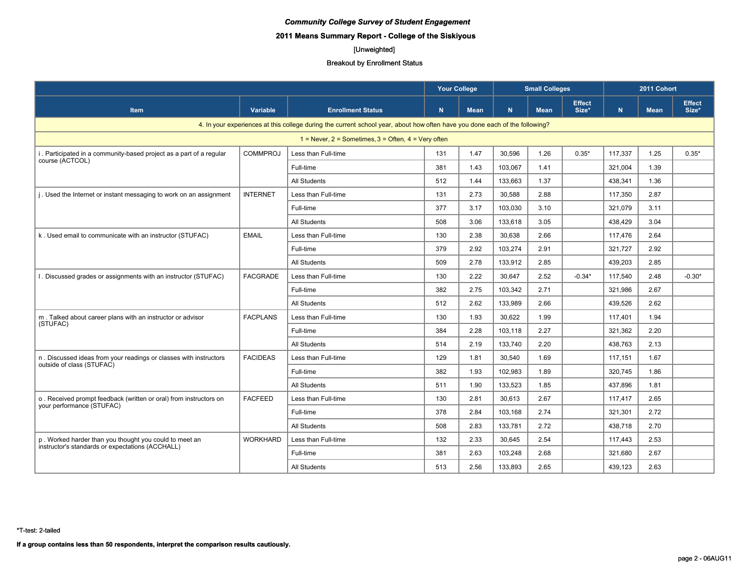# **2011 Means Summary Report - College of the Siskiyous**

# [Unweighted]

|                                                                     |                 |                                                                                                                             | <b>Your College</b> |             |         | <b>Small Colleges</b> |                        | 2011 Cohort |             |                        |
|---------------------------------------------------------------------|-----------------|-----------------------------------------------------------------------------------------------------------------------------|---------------------|-------------|---------|-----------------------|------------------------|-------------|-------------|------------------------|
| <b>Item</b>                                                         | Variable        | <b>Enrollment Status</b>                                                                                                    | N.                  | <b>Mean</b> | N.      | <b>Mean</b>           | <b>Effect</b><br>Size* | N           | <b>Mean</b> | <b>Effect</b><br>Size* |
|                                                                     |                 | 4. In your experiences at this college during the current school year, about how often have you done each of the following? |                     |             |         |                       |                        |             |             |                        |
|                                                                     |                 | $1 =$ Never, $2 =$ Sometimes, $3 =$ Often, $4 =$ Very often                                                                 |                     |             |         |                       |                        |             |             |                        |
| i. Participated in a community-based project as a part of a regular | <b>COMMPROJ</b> | Less than Full-time                                                                                                         | 131                 | 1.47        | 30.596  | 1.26                  | $0.35*$                | 117.337     | 1.25        | $0.35*$                |
| course (ACTCOL)                                                     |                 | Full-time                                                                                                                   | 381                 | 1.43        | 103,067 | 1.41                  |                        | 321,004     | 1.39        |                        |
|                                                                     |                 | <b>All Students</b>                                                                                                         | 512                 | 1.44        | 133,663 | 1.37                  |                        | 438.341     | 1.36        |                        |
| j. Used the Internet or instant messaging to work on an assignment  | <b>INTERNET</b> | Less than Full-time                                                                                                         | 131                 | 2.73        | 30,588  | 2.88                  |                        | 117,350     | 2.87        |                        |
|                                                                     |                 | Full-time                                                                                                                   | 377                 | 3.17        | 103,030 | 3.10                  |                        | 321.079     | 3.11        |                        |
|                                                                     |                 | <b>All Students</b>                                                                                                         | 508                 | 3.06        | 133.618 | 3.05                  |                        | 438.429     | 3.04        |                        |
| k. Used email to communicate with an instructor (STUFAC)            | <b>EMAIL</b>    | Less than Full-time                                                                                                         | 130                 | 2.38        | 30,638  | 2.66                  |                        | 117,476     | 2.64        |                        |
|                                                                     |                 | Full-time                                                                                                                   | 379                 | 2.92        | 103,274 | 2.91                  |                        | 321,727     | 2.92        |                        |
|                                                                     |                 | <b>All Students</b>                                                                                                         | 509                 | 2.78        | 133,912 | 2.85                  |                        | 439,203     | 2.85        |                        |
| 1. Discussed grades or assignments with an instructor (STUFAC)      | <b>FACGRADE</b> | Less than Full-time                                                                                                         | 130                 | 2.22        | 30,647  | 2.52                  | $-0.34*$               | 117,540     | 2.48        | $-0.30*$               |
|                                                                     |                 | Full-time                                                                                                                   | 382                 | 2.75        | 103,342 | 2.71                  |                        | 321,986     | 2.67        |                        |
|                                                                     |                 | <b>All Students</b>                                                                                                         | 512                 | 2.62        | 133.989 | 2.66                  |                        | 439.526     | 2.62        |                        |
| m. Talked about career plans with an instructor or advisor          | <b>FACPLANS</b> | Less than Full-time                                                                                                         | 130                 | 1.93        | 30,622  | 1.99                  |                        | 117.401     | 1.94        |                        |
| (STUFAC)                                                            |                 | Full-time                                                                                                                   | 384                 | 2.28        | 103,118 | 2.27                  |                        | 321,362     | 2.20        |                        |
|                                                                     |                 | All Students                                                                                                                | 514                 | 2.19        | 133,740 | 2.20                  |                        | 438,763     | 2.13        |                        |
| n. Discussed ideas from your readings or classes with instructors   | <b>FACIDEAS</b> | Less than Full-time                                                                                                         | 129                 | 1.81        | 30,540  | 1.69                  |                        | 117,151     | 1.67        |                        |
| outside of class (STUFAC)                                           |                 | Full-time                                                                                                                   | 382                 | 1.93        | 102.983 | 1.89                  |                        | 320.745     | 1.86        |                        |
|                                                                     |                 | All Students                                                                                                                | 511                 | 1.90        | 133.523 | 1.85                  |                        | 437.896     | 1.81        |                        |
| o. Received prompt feedback (written or oral) from instructors on   | <b>FACFEED</b>  | Less than Full-time                                                                                                         | 130                 | 2.81        | 30,613  | 2.67                  |                        | 117,417     | 2.65        |                        |
| your performance (STUFAC)                                           |                 | Full-time                                                                                                                   | 378                 | 2.84        | 103.168 | 2.74                  |                        | 321.301     | 2.72        |                        |
|                                                                     |                 | All Students                                                                                                                | 508                 | 2.83        | 133,781 | 2.72                  |                        | 438,718     | 2.70        |                        |
| p. Worked harder than you thought you could to meet an              | <b>WORKHARD</b> | Less than Full-time                                                                                                         | 132                 | 2.33        | 30,645  | 2.54                  |                        | 117,443     | 2.53        |                        |
| instructor's standards or expectations (ACCHALL)                    |                 | Full-time                                                                                                                   | 381                 | 2.63        | 103.248 | 2.68                  |                        | 321.680     | 2.67        |                        |
|                                                                     |                 | <b>All Students</b>                                                                                                         | 513                 | 2.56        | 133,893 | 2.65                  |                        | 439,123     | 2.63        |                        |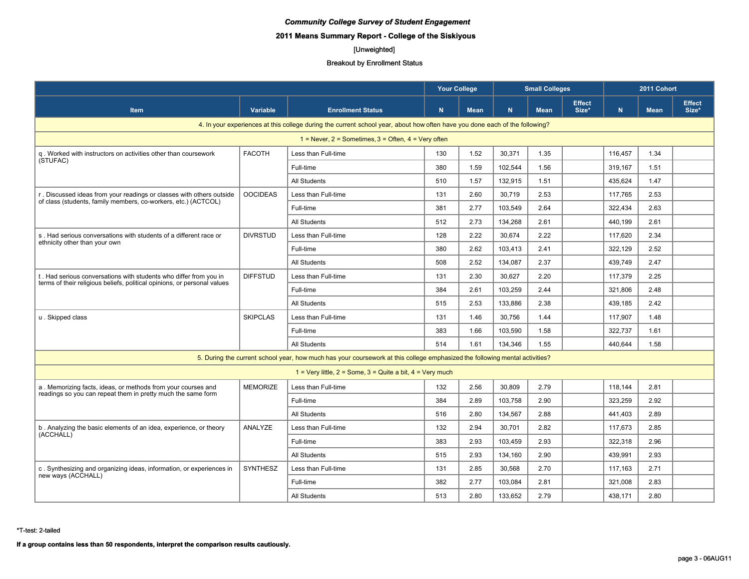# **2011 Means Summary Report - College of the Siskiyous**

# [Unweighted]

#### Breakout by Enrollment Status

|                                                                          |                 |                                                                                                                             | <b>Your College</b><br><b>Small Colleges</b><br>2011 Cohort<br><b>Effect</b> |             |         |             |       |             |             |                        |
|--------------------------------------------------------------------------|-----------------|-----------------------------------------------------------------------------------------------------------------------------|------------------------------------------------------------------------------|-------------|---------|-------------|-------|-------------|-------------|------------------------|
| <b>Item</b>                                                              | Variable        | <b>Enrollment Status</b>                                                                                                    | N                                                                            | <b>Mean</b> | N.      | <b>Mean</b> | Size* | $\mathbf N$ | <b>Mean</b> | <b>Effect</b><br>Size* |
|                                                                          |                 | 4. In your experiences at this college during the current school year, about how often have you done each of the following? |                                                                              |             |         |             |       |             |             |                        |
|                                                                          |                 | $1 =$ Never, $2 =$ Sometimes, $3 =$ Often, $4 =$ Very often                                                                 |                                                                              |             |         |             |       |             |             |                        |
| q. Worked with instructors on activities other than coursework           | <b>FACOTH</b>   | Less than Full-time                                                                                                         | 130                                                                          | 1.52        | 30,371  | 1.35        |       | 116.457     | 1.34        |                        |
| (STUFAC)                                                                 |                 | Full-time                                                                                                                   | 380                                                                          | 1.59        | 102.544 | 1.56        |       | 319.167     | 1.51        |                        |
|                                                                          |                 | <b>All Students</b>                                                                                                         | 510                                                                          | 1.57        | 132,915 | 1.51        |       | 435,624     | 1.47        |                        |
| r. Discussed ideas from your readings or classes with others outside     | <b>OOCIDEAS</b> | Less than Full-time                                                                                                         | 131                                                                          | 2.60        | 30,719  | 2.53        |       | 117,765     | 2.53        |                        |
| of class (students, family members, co-workers, etc.) (ACTCOL)           |                 | Full-time                                                                                                                   | 381                                                                          | 2.77        | 103,549 | 2.64        |       | 322,434     | 2.63        |                        |
|                                                                          |                 | <b>All Students</b>                                                                                                         | 512                                                                          | 2.73        | 134,268 | 2.61        |       | 440,199     | 2.61        |                        |
| s. Had serious conversations with students of a different race or        | <b>DIVRSTUD</b> | Less than Full-time                                                                                                         | 128                                                                          | 2.22        | 30,674  | 2.22        |       | 117,620     | 2.34        |                        |
| ethnicity other than your own                                            |                 | Full-time                                                                                                                   | 380                                                                          | 2.62        | 103,413 | 2.41        |       | 322,129     | 2.52        |                        |
|                                                                          |                 | All Students                                                                                                                | 508                                                                          | 2.52        | 134,087 | 2.37        |       | 439,749     | 2.47        |                        |
| t. Had serious conversations with students who differ from you in        | <b>DIFFSTUD</b> | Less than Full-time                                                                                                         | 131                                                                          | 2.30        | 30,627  | 2.20        |       | 117,379     | 2.25        |                        |
| terms of their religious beliefs, political opinions, or personal values |                 | Full-time                                                                                                                   | 384                                                                          | 2.61        | 103,259 | 2.44        |       | 321.806     | 2.48        |                        |
|                                                                          |                 | All Students                                                                                                                | 515                                                                          | 2.53        | 133,886 | 2.38        |       | 439.185     | 2.42        |                        |
| u. Skipped class                                                         | <b>SKIPCLAS</b> | Less than Full-time                                                                                                         | 131                                                                          | 1.46        | 30,756  | 1.44        |       | 117,907     | 1.48        |                        |
|                                                                          |                 | Full-time                                                                                                                   | 383                                                                          | 1.66        | 103,590 | 1.58        |       | 322,737     | 1.61        |                        |
|                                                                          |                 | All Students                                                                                                                | 514                                                                          | 1.61        | 134.346 | 1.55        |       | 440.644     | 1.58        |                        |
|                                                                          |                 | 5. During the current school year, how much has your coursework at this college emphasized the following mental activities? |                                                                              |             |         |             |       |             |             |                        |
|                                                                          |                 | 1 = Very little, $2 =$ Some, $3 =$ Quite a bit, $4 =$ Very much                                                             |                                                                              |             |         |             |       |             |             |                        |
| a. Memorizing facts, ideas, or methods from your courses and             | <b>MEMORIZE</b> | Less than Full-time                                                                                                         | 132                                                                          | 2.56        | 30,809  | 2.79        |       | 118.144     | 2.81        |                        |
| readings so you can repeat them in pretty much the same form             |                 | Full-time                                                                                                                   | 384                                                                          | 2.89        | 103,758 | 2.90        |       | 323,259     | 2.92        |                        |
|                                                                          |                 | All Students                                                                                                                | 516                                                                          | 2.80        | 134,567 | 2.88        |       | 441,403     | 2.89        |                        |
| b. Analyzing the basic elements of an idea, experience, or theory        | ANALYZE         | Less than Full-time                                                                                                         | 132                                                                          | 2.94        | 30,701  | 2.82        |       | 117,673     | 2.85        |                        |
| (ACCHALL)                                                                |                 | Full-time                                                                                                                   | 383                                                                          | 2.93        | 103,459 | 2.93        |       | 322,318     | 2.96        |                        |
|                                                                          |                 | All Students                                                                                                                | 515                                                                          | 2.93        | 134,160 | 2.90        |       | 439,991     | 2.93        |                        |
| c. Synthesizing and organizing ideas, information, or experiences in     | SYNTHESZ        | Less than Full-time                                                                                                         | 131                                                                          | 2.85        | 30,568  | 2.70        |       | 117,163     | 2.71        |                        |
| new ways (ACCHALL)                                                       |                 | Full-time                                                                                                                   | 382                                                                          | 2.77        | 103,084 | 2.81        |       | 321,008     | 2.83        |                        |
|                                                                          |                 | All Students                                                                                                                | 513                                                                          | 2.80        | 133,652 | 2.79        |       | 438,171     | 2.80        |                        |

\*T-test: 2-tailed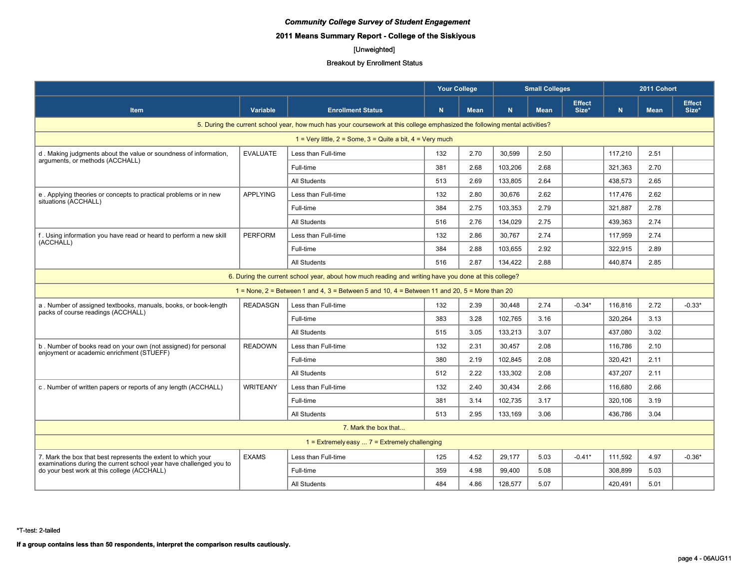# **2011 Means Summary Report - College of the Siskiyous**

# [Unweighted]

|                                                                                                                   |                 |                                                                                                                             | <b>Your College</b><br><b>Small Colleges</b><br><b>Effect</b> |             |         |             |          | 2011 Cohort |             |                        |
|-------------------------------------------------------------------------------------------------------------------|-----------------|-----------------------------------------------------------------------------------------------------------------------------|---------------------------------------------------------------|-------------|---------|-------------|----------|-------------|-------------|------------------------|
| <b>Item</b>                                                                                                       | Variable        | <b>Enrollment Status</b>                                                                                                    | N                                                             | <b>Mean</b> | N       | <b>Mean</b> | Size*    | N           | <b>Mean</b> | <b>Effect</b><br>Size* |
|                                                                                                                   |                 | 5. During the current school year, how much has your coursework at this college emphasized the following mental activities? |                                                               |             |         |             |          |             |             |                        |
|                                                                                                                   |                 | 1 = Very little, $2 =$ Some, $3 =$ Quite a bit, $4 =$ Very much                                                             |                                                               |             |         |             |          |             |             |                        |
| d. Making judgments about the value or soundness of information,                                                  | <b>EVALUATE</b> | Less than Full-time                                                                                                         | 132                                                           | 2.70        | 30,599  | 2.50        |          | 117,210     | 2.51        |                        |
| arguments, or methods (ACCHALL)                                                                                   |                 | Full-time                                                                                                                   | 381                                                           | 2.68        | 103,206 | 2.68        |          | 321,363     | 2.70        |                        |
|                                                                                                                   |                 | All Students                                                                                                                | 513                                                           | 2.69        | 133,805 | 2.64        |          | 438,573     | 2.65        |                        |
| e. Applying theories or concepts to practical problems or in new                                                  | <b>APPLYING</b> | Less than Full-time                                                                                                         | 132                                                           | 2.80        | 30,676  | 2.62        |          | 117,476     | 2.62        |                        |
| situations (ACCHALL)                                                                                              |                 | Full-time                                                                                                                   | 384                                                           | 2.75        | 103,353 | 2.79        |          | 321,887     | 2.78        |                        |
|                                                                                                                   |                 | All Students                                                                                                                | 516                                                           | 2.76        | 134.029 | 2.75        |          | 439.363     | 2.74        |                        |
| f. Using information you have read or heard to perform a new skill<br>(ACCHALL)                                   | <b>PERFORM</b>  | Less than Full-time                                                                                                         | 132                                                           | 2.86        | 30,767  | 2.74        |          | 117,959     | 2.74        |                        |
|                                                                                                                   |                 | Full-time                                                                                                                   | 384                                                           | 2.88        | 103,655 | 2.92        |          | 322,915     | 2.89        |                        |
| All Students<br>516<br>2.87<br>134.422<br>2.88<br>440.874<br>2.85                                                 |                 |                                                                                                                             |                                                               |             |         |             |          |             |             |                        |
|                                                                                                                   |                 | 6. During the current school year, about how much reading and writing have you done at this college?                        |                                                               |             |         |             |          |             |             |                        |
|                                                                                                                   |                 | 1 = None, $2$ = Between 1 and 4, $3$ = Between 5 and 10, $4$ = Between 11 and 20, $5$ = More than 20                        |                                                               |             |         |             |          |             |             |                        |
| a. Number of assigned textbooks, manuals, books, or book-length<br>packs of course readings (ACCHALL)             | <b>READASGN</b> | Less than Full-time                                                                                                         | 132                                                           | 2.39        | 30.448  | 2.74        | $-0.34*$ | 116.816     | 2.72        | $-0.33*$               |
|                                                                                                                   |                 | Full-time                                                                                                                   | 383                                                           | 3.28        | 102.765 | 3.16        |          | 320.264     | 3.13        |                        |
|                                                                                                                   |                 | All Students                                                                                                                | 515                                                           | 3.05        | 133,213 | 3.07        |          | 437,080     | 3.02        |                        |
| b. Number of books read on your own (not assigned) for personal<br>enjoyment or academic enrichment (STUEFF)      | <b>READOWN</b>  | Less than Full-time                                                                                                         | 132                                                           | 2.31        | 30.457  | 2.08        |          | 116.786     | 2.10        |                        |
|                                                                                                                   |                 | Full-time                                                                                                                   | 380                                                           | 2.19        | 102,845 | 2.08        |          | 320,421     | 2.11        |                        |
|                                                                                                                   |                 | All Students                                                                                                                | 512                                                           | 2.22        | 133,302 | 2.08        |          | 437,207     | 2.11        |                        |
| c. Number of written papers or reports of any length (ACCHALL)                                                    | <b>WRITEANY</b> | Less than Full-time                                                                                                         | 132                                                           | 2.40        | 30,434  | 2.66        |          | 116.680     | 2.66        |                        |
|                                                                                                                   |                 | Full-time                                                                                                                   | 381                                                           | 3.14        | 102,735 | 3.17        |          | 320,106     | 3.19        |                        |
|                                                                                                                   |                 | All Students                                                                                                                | 513                                                           | 2.95        | 133,169 | 3.06        |          | 436,786     | 3.04        |                        |
|                                                                                                                   |                 | 7. Mark the box that                                                                                                        |                                                               |             |         |             |          |             |             |                        |
|                                                                                                                   |                 | $1 =$ Extremely easy $7 =$ Extremely challenging                                                                            |                                                               |             |         |             |          |             |             |                        |
| 7. Mark the box that best represents the extent to which your                                                     | <b>EXAMS</b>    | Less than Full-time                                                                                                         | 125                                                           | 4.52        | 29,177  | 5.03        | $-0.41*$ | 111,592     | 4.97        | $-0.36*$               |
| examinations during the current school year have challenged you to<br>do your best work at this college (ACCHALL) |                 | Full-time                                                                                                                   | 359                                                           | 4.98        | 99,400  | 5.08        |          | 308,899     | 5.03        |                        |
|                                                                                                                   |                 | All Students                                                                                                                | 484                                                           | 4.86        | 128,577 | 5.07        |          | 420,491     | 5.01        |                        |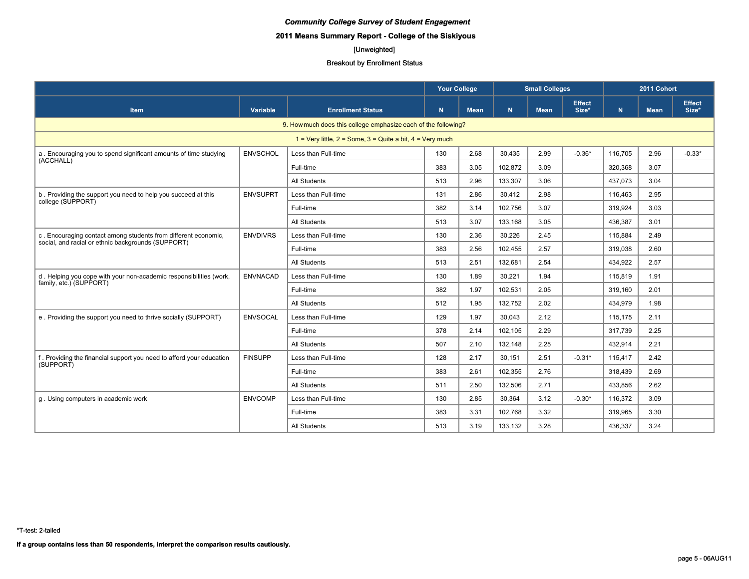# **2011 Means Summary Report - College of the Siskiyous**

# [Unweighted]

#### Breakout by Enrollment Status

|                                                                                                                      |                 |                                                                 | <b>Your College</b> |             |         | <b>Small Colleges</b> |                        | 2011 Cohort |             |                        |
|----------------------------------------------------------------------------------------------------------------------|-----------------|-----------------------------------------------------------------|---------------------|-------------|---------|-----------------------|------------------------|-------------|-------------|------------------------|
| <b>Item</b>                                                                                                          | Variable        | <b>Enrollment Status</b>                                        | N                   | <b>Mean</b> | N.      | <b>Mean</b>           | <b>Effect</b><br>Size* | N.          | <b>Mean</b> | <b>Effect</b><br>Size* |
|                                                                                                                      |                 | 9. How much does this college emphasize each of the following?  |                     |             |         |                       |                        |             |             |                        |
|                                                                                                                      |                 | 1 = Very little, $2 =$ Some, $3 =$ Quite a bit, $4 =$ Very much |                     |             |         |                       |                        |             |             |                        |
| a. Encouraging you to spend significant amounts of time studying                                                     | <b>ENVSCHOL</b> | Less than Full-time                                             | 130                 | 2.68        | 30,435  | 2.99                  | $-0.36*$               | 116.705     | 2.96        | $-0.33*$               |
| (ACCHALL)                                                                                                            |                 | Full-time                                                       | 383                 | 3.05        | 102,872 | 3.09                  |                        | 320,368     | 3.07        |                        |
|                                                                                                                      |                 | All Students                                                    | 513                 | 2.96        | 133.307 | 3.06                  |                        | 437.073     | 3.04        |                        |
| b. Providing the support you need to help you succeed at this<br>college (SUPPORT)                                   | <b>ENVSUPRT</b> | Less than Full-time                                             | 131                 | 2.86        | 30.412  | 2.98                  |                        | 116.463     | 2.95        |                        |
|                                                                                                                      |                 | Full-time                                                       | 382                 | 3.14        | 102,756 | 3.07                  |                        | 319,924     | 3.03        |                        |
|                                                                                                                      |                 | All Students                                                    | 513                 | 3.07        | 133,168 | 3.05                  |                        | 436,387     | 3.01        |                        |
| c. Encouraging contact among students from different economic,<br>social, and racial or ethnic backgrounds (SUPPORT) | <b>ENVDIVRS</b> | Less than Full-time                                             | 130                 | 2.36        | 30,226  | 2.45                  |                        | 115,884     | 2.49        |                        |
|                                                                                                                      |                 | Full-time                                                       | 383                 | 2.56        | 102.455 | 2.57                  |                        | 319.038     | 2.60        |                        |
|                                                                                                                      |                 | All Students                                                    | 513                 | 2.51        | 132.681 | 2.54                  |                        | 434.922     | 2.57        |                        |
| d. Helping you cope with your non-academic responsibilities (work,<br>family, etc.) (SUPPORT)                        | <b>ENVNACAD</b> | Less than Full-time                                             | 130                 | 1.89        | 30,221  | 1.94                  |                        | 115.819     | 1.91        |                        |
|                                                                                                                      |                 | Full-time                                                       | 382                 | 1.97        | 102,531 | 2.05                  |                        | 319,160     | 2.01        |                        |
|                                                                                                                      |                 | All Students                                                    | 512                 | 1.95        | 132,752 | 2.02                  |                        | 434,979     | 1.98        |                        |
| e. Providing the support you need to thrive socially (SUPPORT)                                                       | <b>ENVSOCAL</b> | Less than Full-time                                             | 129                 | 1.97        | 30.043  | 2.12                  |                        | 115.175     | 2.11        |                        |
|                                                                                                                      |                 | Full-time                                                       | 378                 | 2.14        | 102,105 | 2.29                  |                        | 317,739     | 2.25        |                        |
|                                                                                                                      |                 | All Students                                                    | 507                 | 2.10        | 132,148 | 2.25                  |                        | 432.914     | 2.21        |                        |
| f. Providing the financial support you need to afford your education<br>(SUPPORT)                                    | <b>FINSUPP</b>  | Less than Full-time                                             | 128                 | 2.17        | 30,151  | 2.51                  | $-0.31*$               | 115,417     | 2.42        |                        |
|                                                                                                                      |                 | Full-time                                                       | 383                 | 2.61        | 102,355 | 2.76                  |                        | 318,439     | 2.69        |                        |
|                                                                                                                      |                 | All Students                                                    | 511                 | 2.50        | 132,506 | 2.71                  |                        | 433,856     | 2.62        |                        |
| g. Using computers in academic work                                                                                  | <b>ENVCOMP</b>  | Less than Full-time                                             | 130                 | 2.85        | 30,364  | 3.12                  | $-0.30*$               | 116.372     | 3.09        |                        |
|                                                                                                                      |                 | Full-time                                                       | 383                 | 3.31        | 102,768 | 3.32                  |                        | 319.965     | 3.30        |                        |
|                                                                                                                      |                 | All Students                                                    | 513                 | 3.19        | 133,132 | 3.28                  |                        | 436,337     | 3.24        |                        |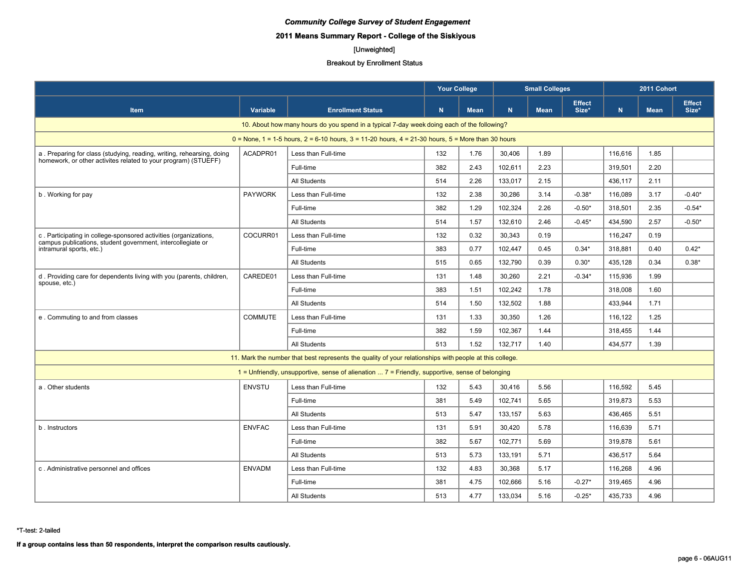# **2011 Means Summary Report - College of the Siskiyous**

# [Unweighted]

#### Breakout by Enrollment Status

|                                                                                         |                |                                                                                                         | <b>Your College</b> |             |           | <b>Small Colleges</b> |                        |             | 2011 Cohort |                        |
|-----------------------------------------------------------------------------------------|----------------|---------------------------------------------------------------------------------------------------------|---------------------|-------------|-----------|-----------------------|------------------------|-------------|-------------|------------------------|
| <b>Item</b>                                                                             | Variable       | <b>Enrollment Status</b>                                                                                | N                   | <b>Mean</b> | ${\bf N}$ | <b>Mean</b>           | <b>Effect</b><br>Size* | $\mathbf N$ | <b>Mean</b> | <b>Effect</b><br>Size* |
|                                                                                         |                | 10. About how many hours do you spend in a typical 7-day week doing each of the following?              |                     |             |           |                       |                        |             |             |                        |
|                                                                                         |                | $0 =$ None, 1 = 1-5 hours, 2 = 6-10 hours, 3 = 11-20 hours, 4 = 21-30 hours, 5 = More than 30 hours     |                     |             |           |                       |                        |             |             |                        |
| a. Preparing for class (studying, reading, writing, rehearsing, doing                   | ACADPR01       | Less than Full-time                                                                                     | 132                 | 1.76        | 30.406    | 1.89                  |                        | 116.616     | 1.85        |                        |
| homework, or other activites related to your program) (STUEFF)                          |                | Full-time                                                                                               | 382                 | 2.43        | 102,611   | 2.23                  |                        | 319,501     | 2.20        |                        |
|                                                                                         |                | All Students                                                                                            | 514                 | 2.26        | 133,017   | 2.15                  |                        | 436,117     | 2.11        |                        |
| b. Working for pay                                                                      | <b>PAYWORK</b> | Less than Full-time                                                                                     | 132                 | 2.38        | 30,286    | 3.14                  | $-0.38*$               | 116,089     | 3.17        | $-0.40*$               |
|                                                                                         |                | Full-time                                                                                               | 382                 | 1.29        | 102,324   | 2.26                  | $-0.50*$               | 318,501     | 2.35        | $-0.54*$               |
|                                                                                         |                | All Students                                                                                            | 514                 | 1.57        | 132,610   | 2.46                  | $-0.45*$               | 434,590     | 2.57        | $-0.50*$               |
| c. Participating in college-sponsored activities (organizations,                        | COCURR01       | Less than Full-time                                                                                     | 132                 | 0.32        | 30,343    | 0.19                  |                        | 116,247     | 0.19        |                        |
| campus publications, student government, intercollegiate or<br>intramural sports, etc.) |                | Full-time                                                                                               | 383                 | 0.77        | 102,447   | 0.45                  | $0.34*$                | 318,881     | 0.40        | $0.42*$                |
|                                                                                         |                | <b>All Students</b>                                                                                     | 515                 | 0.65        | 132,790   | 0.39                  | $0.30*$                | 435,128     | 0.34        | $0.38*$                |
| d. Providing care for dependents living with you (parents, children,                    | CAREDE01       | Less than Full-time                                                                                     | 131                 | 1.48        | 30,260    | 2.21                  | $-0.34*$               | 115.936     | 1.99        |                        |
| spouse, etc.)                                                                           |                | Full-time                                                                                               | 383                 | 1.51        | 102,242   | 1.78                  |                        | 318,008     | 1.60        |                        |
|                                                                                         |                | All Students                                                                                            | 514                 | 1.50        | 132,502   | 1.88                  |                        | 433,944     | 1.71        |                        |
| e. Commuting to and from classes                                                        | <b>COMMUTE</b> | Less than Full-time                                                                                     | 131                 | 1.33        | 30,350    | 1.26                  |                        | 116,122     | 1.25        |                        |
|                                                                                         |                | Full-time                                                                                               | 382                 | 1.59        | 102,367   | 1.44                  |                        | 318,455     | 1.44        |                        |
|                                                                                         |                | All Students                                                                                            | 513                 | 1.52        | 132.717   | 1.40                  |                        | 434,577     | 1.39        |                        |
|                                                                                         |                | 11. Mark the number that best represents the quality of your relationships with people at this college. |                     |             |           |                       |                        |             |             |                        |
|                                                                                         |                | $1$ = Unfriendly, unsupportive, sense of alienation $7$ = Friendly, supportive, sense of belonging      |                     |             |           |                       |                        |             |             |                        |
| a. Other students                                                                       | <b>ENVSTU</b>  | Less than Full-time                                                                                     | 132                 | 5.43        | 30,416    | 5.56                  |                        | 116,592     | 5.45        |                        |
|                                                                                         |                | Full-time                                                                                               | 381                 | 5.49        | 102,741   | 5.65                  |                        | 319.873     | 5.53        |                        |
|                                                                                         |                | All Students                                                                                            | 513                 | 5.47        | 133,157   | 5.63                  |                        | 436,465     | 5.51        |                        |
| b. Instructors                                                                          | <b>ENVFAC</b>  | Less than Full-time                                                                                     | 131                 | 5.91        | 30,420    | 5.78                  |                        | 116,639     | 5.71        |                        |
|                                                                                         |                | Full-time                                                                                               | 382                 | 5.67        | 102.771   | 5.69                  |                        | 319.878     | 5.61        |                        |
|                                                                                         |                | All Students                                                                                            | 513                 | 5.73        | 133,191   | 5.71                  |                        | 436,517     | 5.64        |                        |
| c. Administrative personnel and offices                                                 | <b>ENVADM</b>  | Less than Full-time                                                                                     | 132                 | 4.83        | 30,368    | 5.17                  |                        | 116,268     | 4.96        |                        |
|                                                                                         |                | Full-time                                                                                               | 381                 | 4.75        | 102,666   | 5.16                  | $-0.27*$               | 319,465     | 4.96        |                        |
|                                                                                         |                | All Students                                                                                            | 513                 | 4.77        | 133,034   | 5.16                  | $-0.25*$               | 435,733     | 4.96        |                        |

\*T-test: 2-tailed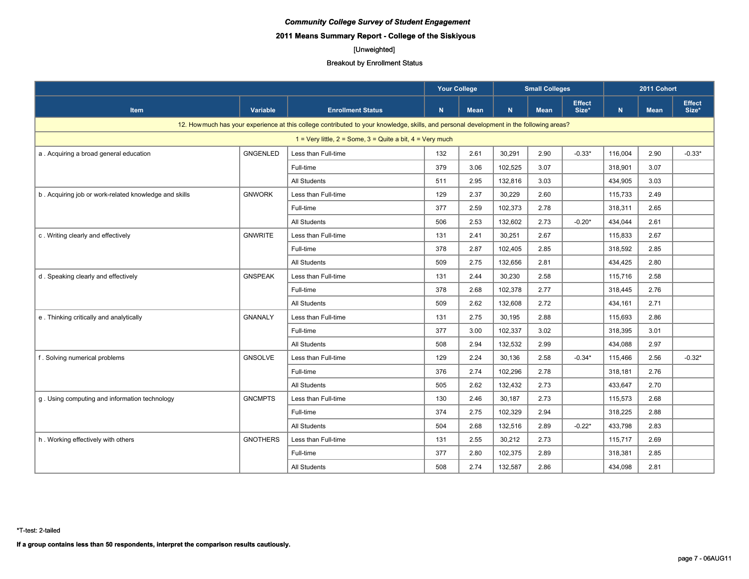# **2011 Means Summary Report - College of the Siskiyous**

# [Unweighted]

#### Breakout by Enrollment Status

|                                                       |                 |                                                                                                                                          | Your College |             |         | <b>Small Colleges</b> |                        |           | 2011 Cohort |                        |
|-------------------------------------------------------|-----------------|------------------------------------------------------------------------------------------------------------------------------------------|--------------|-------------|---------|-----------------------|------------------------|-----------|-------------|------------------------|
| <b>Item</b>                                           | Variable        | <b>Enrollment Status</b>                                                                                                                 | N            | <b>Mean</b> | N       | <b>Mean</b>           | <b>Effect</b><br>Size* | ${\bf N}$ | <b>Mean</b> | <b>Effect</b><br>Size* |
|                                                       |                 | 12. How much has your experience at this college contributed to your knowledge, skills, and personal development in the following areas? |              |             |         |                       |                        |           |             |                        |
|                                                       |                 | 1 = Very little, $2 =$ Some, $3 =$ Quite a bit, $4 =$ Very much                                                                          |              |             |         |                       |                        |           |             |                        |
| a. Acquiring a broad general education                | <b>GNGENLED</b> | Less than Full-time                                                                                                                      | 132          | 2.61        | 30,291  | 2.90                  | $-0.33*$               | 116,004   | 2.90        | $-0.33*$               |
|                                                       |                 | Full-time                                                                                                                                | 379          | 3.06        | 102,525 | 3.07                  |                        | 318,901   | 3.07        |                        |
|                                                       |                 | All Students                                                                                                                             | 511          | 2.95        | 132,816 | 3.03                  |                        | 434,905   | 3.03        |                        |
| b. Acquiring job or work-related knowledge and skills | <b>GNWORK</b>   | Less than Full-time                                                                                                                      | 129          | 2.37        | 30,229  | 2.60                  |                        | 115,733   | 2.49        |                        |
|                                                       |                 | Full-time                                                                                                                                | 377          | 2.59        | 102,373 | 2.78                  |                        | 318,311   | 2.65        |                        |
|                                                       |                 | All Students                                                                                                                             | 506          | 2.53        | 132,602 | 2.73                  | $-0.20*$               | 434,044   | 2.61        |                        |
| c. Writing clearly and effectively                    | <b>GNWRITE</b>  | Less than Full-time                                                                                                                      | 131          | 2.41        | 30,251  | 2.67                  |                        | 115,833   | 2.67        |                        |
|                                                       |                 | Full-time                                                                                                                                | 378          | 2.87        | 102,405 | 2.85                  |                        | 318,592   | 2.85        |                        |
|                                                       |                 | <b>All Students</b>                                                                                                                      | 509          | 2.75        | 132,656 | 2.81                  |                        | 434,425   | 2.80        |                        |
| d. Speaking clearly and effectively                   | <b>GNSPEAK</b>  | Less than Full-time                                                                                                                      | 131          | 2.44        | 30,230  | 2.58                  |                        | 115,716   | 2.58        |                        |
|                                                       |                 | Full-time                                                                                                                                | 378          | 2.68        | 102,378 | 2.77                  |                        | 318,445   | 2.76        |                        |
|                                                       |                 | <b>All Students</b>                                                                                                                      | 509          | 2.62        | 132,608 | 2.72                  |                        | 434,161   | 2.71        |                        |
| e. Thinking critically and analytically               | <b>GNANALY</b>  | Less than Full-time                                                                                                                      | 131          | 2.75        | 30,195  | 2.88                  |                        | 115,693   | 2.86        |                        |
|                                                       |                 | Full-time                                                                                                                                | 377          | 3.00        | 102,337 | 3.02                  |                        | 318,395   | 3.01        |                        |
|                                                       |                 | <b>All Students</b>                                                                                                                      | 508          | 2.94        | 132,532 | 2.99                  |                        | 434,088   | 2.97        |                        |
| f. Solving numerical problems                         | <b>GNSOLVE</b>  | Less than Full-time                                                                                                                      | 129          | 2.24        | 30,136  | 2.58                  | $-0.34*$               | 115,466   | 2.56        | $-0.32*$               |
|                                                       |                 | Full-time                                                                                                                                | 376          | 2.74        | 102,296 | 2.78                  |                        | 318,181   | 2.76        |                        |
|                                                       |                 | <b>All Students</b>                                                                                                                      | 505          | 2.62        | 132,432 | 2.73                  |                        | 433,647   | 2.70        |                        |
| g. Using computing and information technology         | <b>GNCMPTS</b>  | Less than Full-time                                                                                                                      | 130          | 2.46        | 30,187  | 2.73                  |                        | 115,573   | 2.68        |                        |
|                                                       |                 | Full-time                                                                                                                                | 374          | 2.75        | 102,329 | 2.94                  |                        | 318,225   | 2.88        |                        |
|                                                       |                 | <b>All Students</b>                                                                                                                      | 504          | 2.68        | 132,516 | 2.89                  | $-0.22*$               | 433,798   | 2.83        |                        |
| h. Working effectively with others                    | <b>GNOTHERS</b> | Less than Full-time                                                                                                                      | 131          | 2.55        | 30,212  | 2.73                  |                        | 115,717   | 2.69        |                        |
|                                                       |                 | Full-time                                                                                                                                | 377          | 2.80        | 102,375 | 2.89                  |                        | 318,381   | 2.85        |                        |
|                                                       |                 | <b>All Students</b>                                                                                                                      | 508          | 2.74        | 132,587 | 2.86                  |                        | 434,098   | 2.81        |                        |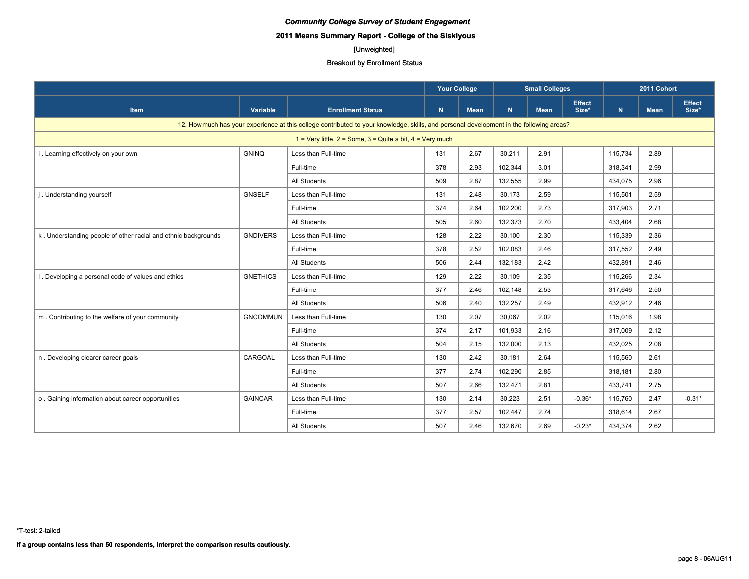# **2011 Means Summary Report - College of the Siskiyous**

# [Unweighted]

|                                                                |                 |                                                                                                                                          | <b>Your College</b> |             |         | <b>Small Colleges</b> |                        | 2011 Cohort |             |                        |
|----------------------------------------------------------------|-----------------|------------------------------------------------------------------------------------------------------------------------------------------|---------------------|-------------|---------|-----------------------|------------------------|-------------|-------------|------------------------|
| <b>Item</b>                                                    | Variable        | <b>Enrollment Status</b>                                                                                                                 | N.                  | <b>Mean</b> | N.      | <b>Mean</b>           | <b>Effect</b><br>Size* | $\mathbf N$ | <b>Mean</b> | <b>Effect</b><br>Size* |
|                                                                |                 | 12. How much has your experience at this college contributed to your knowledge, skills, and personal development in the following areas? |                     |             |         |                       |                        |             |             |                        |
|                                                                |                 | 1 = Very little, $2 =$ Some, $3 =$ Quite a bit, $4 =$ Very much                                                                          |                     |             |         |                       |                        |             |             |                        |
| i. Learning effectively on your own                            | <b>GNINQ</b>    | Less than Full-time                                                                                                                      | 131                 | 2.67        | 30,211  | 2.91                  |                        | 115,734     | 2.89        |                        |
|                                                                |                 | Full-time                                                                                                                                | 378                 | 2.93        | 102,344 | 3.01                  |                        | 318,341     | 2.99        |                        |
|                                                                |                 | All Students                                                                                                                             | 509                 | 2.87        | 132,555 | 2.99                  |                        | 434,075     | 2.96        |                        |
| j. Understanding yourself                                      | <b>GNSELF</b>   | Less than Full-time                                                                                                                      | 131                 | 2.48        | 30,173  | 2.59                  |                        | 115,501     | 2.59        |                        |
|                                                                |                 | Full-time                                                                                                                                | 374                 | 2.64        | 102,200 | 2.73                  |                        | 317,903     | 2.71        |                        |
|                                                                |                 | All Students                                                                                                                             | 505                 | 2.60        | 132,373 | 2.70                  |                        | 433,404     | 2.68        |                        |
| k. Understanding people of other racial and ethnic backgrounds | <b>GNDIVERS</b> | Less than Full-time                                                                                                                      | 128                 | 2.22        | 30,100  | 2.30                  |                        | 115,339     | 2.36        |                        |
|                                                                |                 | Full-time                                                                                                                                | 378                 | 2.52        | 102.083 | 2.46                  |                        | 317,552     | 2.49        |                        |
|                                                                |                 | All Students                                                                                                                             | 506                 | 2.44        | 132,183 | 2.42                  |                        | 432,891     | 2.46        |                        |
| . Developing a personal code of values and ethics              | <b>GNETHICS</b> | Less than Full-time                                                                                                                      | 129                 | 2.22        | 30,109  | 2.35                  |                        | 115,266     | 2.34        |                        |
|                                                                |                 | Full-time                                                                                                                                | 377                 | 2.46        | 102,148 | 2.53                  |                        | 317,646     | 2.50        |                        |
|                                                                |                 | All Students                                                                                                                             | 506                 | 2.40        | 132,257 | 2.49                  |                        | 432,912     | 2.46        |                        |
| m. Contributing to the welfare of your community               | <b>GNCOMMUN</b> | Less than Full-time                                                                                                                      | 130                 | 2.07        | 30,067  | 2.02                  |                        | 115,016     | 1.98        |                        |
|                                                                |                 | Full-time                                                                                                                                | 374                 | 2.17        | 101,933 | 2.16                  |                        | 317,009     | 2.12        |                        |
|                                                                |                 | All Students                                                                                                                             | 504                 | 2.15        | 132,000 | 2.13                  |                        | 432,025     | 2.08        |                        |
| n. Developing clearer career goals                             | CARGOAL         | Less than Full-time                                                                                                                      | 130                 | 2.42        | 30,181  | 2.64                  |                        | 115,560     | 2.61        |                        |
|                                                                |                 | Full-time                                                                                                                                | 377                 | 2.74        | 102,290 | 2.85                  |                        | 318,181     | 2.80        |                        |
|                                                                |                 | All Students                                                                                                                             | 507                 | 2.66        | 132,471 | 2.81                  |                        | 433,741     | 2.75        |                        |
| o. Gaining information about career opportunities              | <b>GAINCAR</b>  | Less than Full-time                                                                                                                      | 130                 | 2.14        | 30,223  | 2.51                  | $-0.36*$               | 115,760     | 2.47        | $-0.31*$               |
|                                                                |                 | Full-time                                                                                                                                | 377                 | 2.57        | 102,447 | 2.74                  |                        | 318,614     | 2.67        |                        |
|                                                                |                 | All Students                                                                                                                             | 507                 | 2.46        | 132,670 | 2.69                  | $-0.23*$               | 434,374     | 2.62        |                        |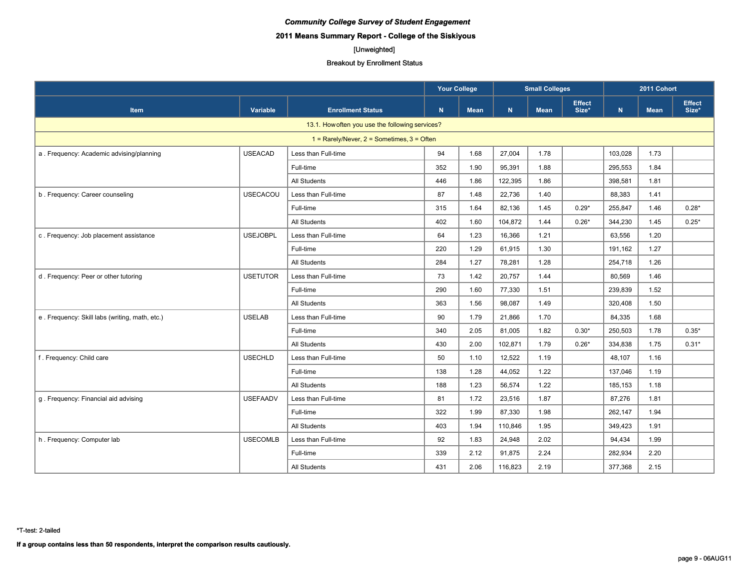# **2011 Means Summary Report - College of the Siskiyous**

# [Unweighted]

#### Breakout by Enrollment Status

|                                                |                 |                                                  | <b>Your College</b> |             |         | <b>Small Colleges</b> |                        |           | 2011 Cohort |                        |
|------------------------------------------------|-----------------|--------------------------------------------------|---------------------|-------------|---------|-----------------------|------------------------|-----------|-------------|------------------------|
| <b>Item</b>                                    | Variable        | <b>Enrollment Status</b>                         | N                   | <b>Mean</b> | N       | <b>Mean</b>           | <b>Effect</b><br>Size* | ${\bf N}$ | <b>Mean</b> | <b>Effect</b><br>Size* |
|                                                |                 | 13.1. How often you use the following services?  |                     |             |         |                       |                        |           |             |                        |
|                                                |                 | $1 =$ Rarely/Never, $2 =$ Sometimes, $3 =$ Often |                     |             |         |                       |                        |           |             |                        |
| a. Frequency: Academic advising/planning       | <b>USEACAD</b>  | Less than Full-time                              | 94                  | 1.68        | 27,004  | 1.78                  |                        | 103,028   | 1.73        |                        |
|                                                |                 | Full-time                                        | 352                 | 1.90        | 95,391  | 1.88                  |                        | 295,553   | 1.84        |                        |
|                                                |                 | All Students                                     | 446                 | 1.86        | 122,395 | 1.86                  |                        | 398,581   | 1.81        |                        |
| b. Frequency: Career counseling                | USECACOU        | Less than Full-time                              | 87                  | 1.48        | 22,736  | 1.40                  |                        | 88,383    | 1.41        |                        |
|                                                |                 | Full-time                                        | 315                 | 1.64        | 82,136  | 1.45                  | $0.29*$                | 255,847   | 1.46        | $0.28*$                |
|                                                |                 | All Students                                     | 402                 | 1.60        | 104,872 | 1.44                  | $0.26*$                | 344,230   | 1.45        | $0.25*$                |
| c. Frequency: Job placement assistance         | <b>USEJOBPL</b> | Less than Full-time                              | 64                  | 1.23        | 16,366  | 1.21                  |                        | 63,556    | 1.20        |                        |
|                                                |                 | Full-time                                        | 220                 | 1.29        | 61,915  | 1.30                  |                        | 191,162   | 1.27        |                        |
|                                                |                 | <b>All Students</b>                              | 284                 | 1.27        | 78,281  | 1.28                  |                        | 254,718   | 1.26        |                        |
| d. Frequency: Peer or other tutoring           | <b>USETUTOR</b> | Less than Full-time                              | 73                  | 1.42        | 20,757  | 1.44                  |                        | 80,569    | 1.46        |                        |
|                                                |                 | Full-time                                        | 290                 | 1.60        | 77,330  | 1.51                  |                        | 239,839   | 1.52        |                        |
|                                                |                 | <b>All Students</b>                              | 363                 | 1.56        | 98,087  | 1.49                  |                        | 320,408   | 1.50        |                        |
| e. Frequency: Skill labs (writing, math, etc.) | <b>USELAB</b>   | Less than Full-time                              | 90                  | 1.79        | 21,866  | 1.70                  |                        | 84,335    | 1.68        |                        |
|                                                |                 | Full-time                                        | 340                 | 2.05        | 81,005  | 1.82                  | $0.30*$                | 250,503   | 1.78        | $0.35*$                |
|                                                |                 | <b>All Students</b>                              | 430                 | 2.00        | 102,871 | 1.79                  | $0.26*$                | 334,838   | 1.75        | $0.31*$                |
| f. Frequency: Child care                       | <b>USECHLD</b>  | Less than Full-time                              | 50                  | 1.10        | 12,522  | 1.19                  |                        | 48,107    | 1.16        |                        |
|                                                |                 | Full-time                                        | 138                 | 1.28        | 44,052  | 1.22                  |                        | 137,046   | 1.19        |                        |
|                                                |                 | <b>All Students</b>                              | 188                 | 1.23        | 56,574  | 1.22                  |                        | 185,153   | 1.18        |                        |
| g. Frequency: Financial aid advising           | <b>USEFAADV</b> | Less than Full-time                              | 81                  | 1.72        | 23,516  | 1.87                  |                        | 87,276    | 1.81        |                        |
|                                                |                 | Full-time                                        | 322                 | 1.99        | 87,330  | 1.98                  |                        | 262,147   | 1.94        |                        |
|                                                |                 | <b>All Students</b>                              | 403                 | 1.94        | 110,846 | 1.95                  |                        | 349,423   | 1.91        |                        |
| h. Frequency: Computer lab                     | <b>USECOMLB</b> | Less than Full-time                              | 92                  | 1.83        | 24,948  | 2.02                  |                        | 94,434    | 1.99        |                        |
|                                                |                 | Full-time                                        | 339                 | 2.12        | 91,875  | 2.24                  |                        | 282,934   | 2.20        |                        |
|                                                |                 | All Students                                     | 431                 | 2.06        | 116,823 | 2.19                  |                        | 377,368   | 2.15        |                        |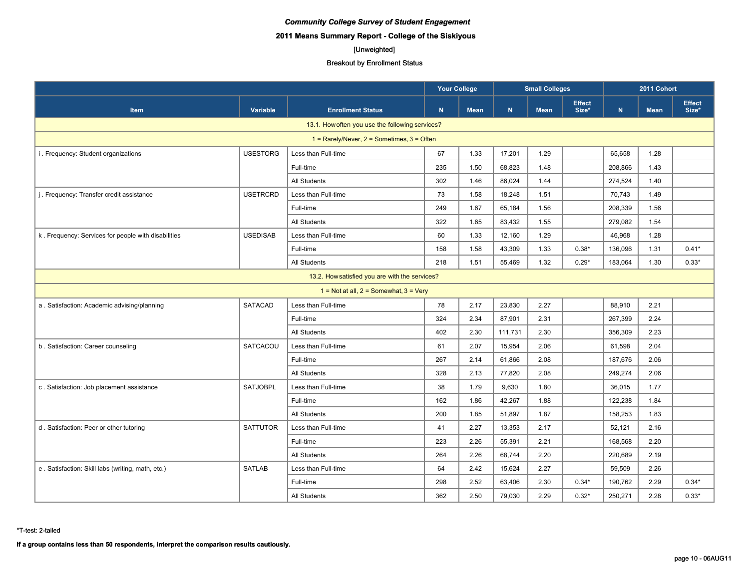# **2011 Means Summary Report - College of the Siskiyous**

# [Unweighted]

#### Breakout by Enrollment Status

|                                                     |                 | <b>Your College</b><br><b>Small Colleges</b><br>2011 Cohort |     |             |         |             |                        |         |             |                        |
|-----------------------------------------------------|-----------------|-------------------------------------------------------------|-----|-------------|---------|-------------|------------------------|---------|-------------|------------------------|
| <b>Item</b>                                         | Variable        | <b>Enrollment Status</b>                                    | N   | <b>Mean</b> | N       | <b>Mean</b> | <b>Effect</b><br>Size* | N.      | <b>Mean</b> | <b>Effect</b><br>Size* |
|                                                     |                 | 13.1. How often you use the following services?             |     |             |         |             |                        |         |             |                        |
|                                                     |                 | $1 =$ Rarely/Never, $2 =$ Sometimes, $3 =$ Often            |     |             |         |             |                        |         |             |                        |
| i. Frequency: Student organizations                 | <b>USESTORG</b> | Less than Full-time                                         | 67  | 1.33        | 17,201  | 1.29        |                        | 65.658  | 1.28        |                        |
|                                                     |                 | Full-time                                                   | 235 | 1.50        | 68,823  | 1.48        |                        | 208,866 | 1.43        |                        |
|                                                     |                 | <b>All Students</b>                                         | 302 | 1.46        | 86,024  | 1.44        |                        | 274,524 | 1.40        |                        |
| j. Frequency: Transfer credit assistance            | <b>USETRCRD</b> | Less than Full-time                                         | 73  | 1.58        | 18,248  | 1.51        |                        | 70,743  | 1.49        |                        |
|                                                     |                 | Full-time                                                   | 249 | 1.67        | 65,184  | 1.56        |                        | 208,339 | 1.56        |                        |
|                                                     |                 | <b>All Students</b>                                         | 322 | 1.65        | 83,432  | 1.55        |                        | 279.082 | 1.54        |                        |
| k. Frequency: Services for people with disabilities | <b>USEDISAB</b> | Less than Full-time                                         | 60  | 1.33        | 12,160  | 1.29        |                        | 46,968  | 1.28        |                        |
|                                                     |                 | Full-time                                                   | 158 | 1.58        | 43,309  | 1.33        | $0.38*$                | 136,096 | 1.31        | $0.41*$                |
|                                                     |                 | All Students                                                | 218 | 1.51        | 55,469  | 1.32        | $0.29*$                | 183,064 | 1.30        | $0.33*$                |
|                                                     |                 | 13.2. How satisfied you are with the services?              |     |             |         |             |                        |         |             |                        |
|                                                     |                 | 1 = Not at all, $2 =$ Somewhat, $3 =$ Very                  |     |             |         |             |                        |         |             |                        |
| a . Satisfaction: Academic advising/planning        | <b>SATACAD</b>  | Less than Full-time                                         | 78  | 2.17        | 23,830  | 2.27        |                        | 88,910  | 2.21        |                        |
|                                                     |                 | Full-time                                                   | 324 | 2.34        | 87,901  | 2.31        |                        | 267,399 | 2.24        |                        |
|                                                     |                 | All Students                                                | 402 | 2.30        | 111,731 | 2.30        |                        | 356,309 | 2.23        |                        |
| b. Satisfaction: Career counseling                  | SATCACOU        | Less than Full-time                                         | 61  | 2.07        | 15,954  | 2.06        |                        | 61,598  | 2.04        |                        |
|                                                     |                 | Full-time                                                   | 267 | 2.14        | 61,866  | 2.08        |                        | 187,676 | 2.06        |                        |
|                                                     |                 | All Students                                                | 328 | 2.13        | 77,820  | 2.08        |                        | 249,274 | 2.06        |                        |
| c. Satisfaction: Job placement assistance           | <b>SATJOBPL</b> | Less than Full-time                                         | 38  | 1.79        | 9,630   | 1.80        |                        | 36,015  | 1.77        |                        |
|                                                     |                 | Full-time                                                   | 162 | 1.86        | 42,267  | 1.88        |                        | 122,238 | 1.84        |                        |
|                                                     |                 | All Students                                                | 200 | 1.85        | 51,897  | 1.87        |                        | 158,253 | 1.83        |                        |
| d. Satisfaction: Peer or other tutoring             | <b>SATTUTOR</b> | Less than Full-time                                         | 41  | 2.27        | 13,353  | 2.17        |                        | 52,121  | 2.16        |                        |
|                                                     |                 | Full-time                                                   | 223 | 2.26        | 55,391  | 2.21        |                        | 168,568 | 2.20        |                        |
|                                                     |                 | All Students                                                | 264 | 2.26        | 68,744  | 2.20        |                        | 220,689 | 2.19        |                        |
| e. Satisfaction: Skill labs (writing, math, etc.)   | <b>SATLAB</b>   | Less than Full-time                                         | 64  | 2.42        | 15,624  | 2.27        |                        | 59,509  | 2.26        |                        |
|                                                     |                 | Full-time                                                   | 298 | 2.52        | 63,406  | 2.30        | $0.34*$                | 190,762 | 2.29        | $0.34*$                |
|                                                     |                 | All Students                                                | 362 | 2.50        | 79,030  | 2.29        | $0.32*$                | 250,271 | 2.28        | $0.33*$                |

\*T-test: 2-tailed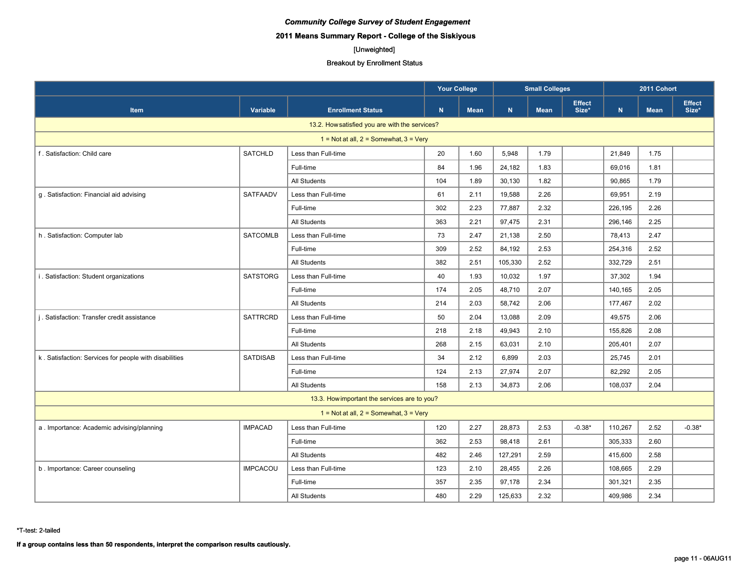# **2011 Means Summary Report - College of the Siskiyous**

# [Unweighted]

#### Breakout by Enrollment Status

|                                                        |                 |                                                | <b>Your College</b><br><b>Small Colleges</b> |      |             |             | 2011 Cohort            |           |             |                        |
|--------------------------------------------------------|-----------------|------------------------------------------------|----------------------------------------------|------|-------------|-------------|------------------------|-----------|-------------|------------------------|
| <b>Item</b>                                            | Variable        | <b>Enrollment Status</b>                       | N                                            | Mean | $\mathbf N$ | <b>Mean</b> | <b>Effect</b><br>Size* | ${\bf N}$ | <b>Mean</b> | <b>Effect</b><br>Size* |
|                                                        |                 | 13.2. How satisfied you are with the services? |                                              |      |             |             |                        |           |             |                        |
|                                                        |                 | $1 = Not at all, 2 = Somewhat, 3 = Very$       |                                              |      |             |             |                        |           |             |                        |
| f. Satisfaction: Child care                            | <b>SATCHLD</b>  | Less than Full-time                            | 20                                           | 1.60 | 5,948       | 1.79        |                        | 21,849    | 1.75        |                        |
|                                                        |                 | Full-time                                      | 84                                           | 1.96 | 24,182      | 1.83        |                        | 69,016    | 1.81        |                        |
|                                                        |                 | All Students                                   | 104                                          | 1.89 | 30,130      | 1.82        |                        | 90,865    | 1.79        |                        |
| g. Satisfaction: Financial aid advising                | SATFAADV        | Less than Full-time                            | 61                                           | 2.11 | 19,588      | 2.26        |                        | 69,951    | 2.19        |                        |
|                                                        |                 | Full-time                                      | 302                                          | 2.23 | 77,887      | 2.32        |                        | 226,195   | 2.26        |                        |
|                                                        |                 | All Students                                   | 363                                          | 2.21 | 97,475      | 2.31        |                        | 296,146   | 2.25        |                        |
| h. Satisfaction: Computer lab                          | <b>SATCOMLB</b> | Less than Full-time                            | 73                                           | 2.47 | 21,138      | 2.50        |                        | 78,413    | 2.47        |                        |
|                                                        |                 | Full-time                                      | 309                                          | 2.52 | 84,192      | 2.53        |                        | 254,316   | 2.52        |                        |
|                                                        |                 | All Students                                   | 382                                          | 2.51 | 105,330     | 2.52        |                        | 332,729   | 2.51        |                        |
| i. Satisfaction: Student organizations                 | <b>SATSTORG</b> | Less than Full-time                            | 40                                           | 1.93 | 10,032      | 1.97        |                        | 37,302    | 1.94        |                        |
|                                                        |                 | Full-time                                      | 174                                          | 2.05 | 48,710      | 2.07        |                        | 140,165   | 2.05        |                        |
|                                                        |                 | All Students                                   | 214                                          | 2.03 | 58,742      | 2.06        |                        | 177,467   | 2.02        |                        |
| j. Satisfaction: Transfer credit assistance            | <b>SATTRCRD</b> | Less than Full-time                            | 50                                           | 2.04 | 13,088      | 2.09        |                        | 49,575    | 2.06        |                        |
|                                                        |                 | Full-time                                      | 218                                          | 2.18 | 49,943      | 2.10        |                        | 155,826   | 2.08        |                        |
|                                                        |                 | All Students                                   | 268                                          | 2.15 | 63,031      | 2.10        |                        | 205,401   | 2.07        |                        |
| k. Satisfaction: Services for people with disabilities | <b>SATDISAB</b> | Less than Full-time                            | 34                                           | 2.12 | 6,899       | 2.03        |                        | 25,745    | 2.01        |                        |
|                                                        |                 | Full-time                                      | 124                                          | 2.13 | 27,974      | 2.07        |                        | 82,292    | 2.05        |                        |
|                                                        |                 | All Students                                   | 158                                          | 2.13 | 34,873      | 2.06        |                        | 108,037   | 2.04        |                        |
|                                                        |                 | 13.3. How important the services are to you?   |                                              |      |             |             |                        |           |             |                        |
|                                                        |                 | $1 = Not at all, 2 = Somewhat, 3 = Very$       |                                              |      |             |             |                        |           |             |                        |
| a. Importance: Academic advising/planning              | <b>IMPACAD</b>  | Less than Full-time                            | 120                                          | 2.27 | 28,873      | 2.53        | $-0.38*$               | 110,267   | 2.52        | $-0.38*$               |
|                                                        |                 | Full-time                                      | 362                                          | 2.53 | 98,418      | 2.61        |                        | 305,333   | 2.60        |                        |
|                                                        |                 | All Students                                   | 482                                          | 2.46 | 127,291     | 2.59        |                        | 415,600   | 2.58        |                        |
| b. Importance: Career counseling                       | <b>IMPCACOU</b> | Less than Full-time                            | 123                                          | 2.10 | 28,455      | 2.26        |                        | 108,665   | 2.29        |                        |
|                                                        |                 | Full-time                                      | 357                                          | 2.35 | 97,178      | 2.34        |                        | 301,321   | 2.35        |                        |
|                                                        |                 | All Students                                   | 480                                          | 2.29 | 125,633     | 2.32        |                        | 409,986   | 2.34        |                        |

\*T-test: 2-tailed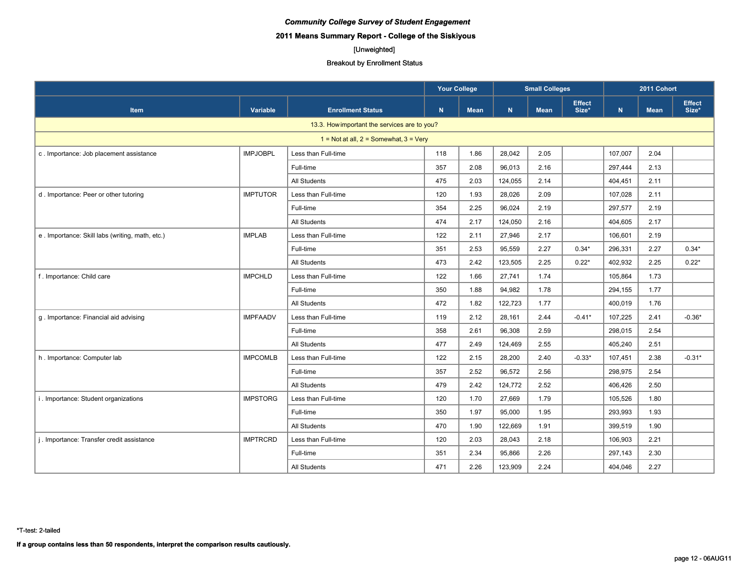# **2011 Means Summary Report - College of the Siskiyous**

# [Unweighted]

#### Breakout by Enrollment Status

|                                                 |                 |                                              | <b>Your College</b><br><b>Small Colleges</b> |             |         | 2011 Cohort |                        |           |             |                        |
|-------------------------------------------------|-----------------|----------------------------------------------|----------------------------------------------|-------------|---------|-------------|------------------------|-----------|-------------|------------------------|
| Item                                            | <b>Variable</b> | <b>Enrollment Status</b>                     | N                                            | <b>Mean</b> | N       | <b>Mean</b> | <b>Effect</b><br>Size* | ${\bf N}$ | <b>Mean</b> | <b>Effect</b><br>Size* |
|                                                 |                 | 13.3. How important the services are to you? |                                              |             |         |             |                        |           |             |                        |
|                                                 |                 | $1 = Not at all, 2 = Somewhat, 3 = Very$     |                                              |             |         |             |                        |           |             |                        |
| c. Importance: Job placement assistance         | <b>IMPJOBPL</b> | Less than Full-time                          | 118                                          | 1.86        | 28,042  | 2.05        |                        | 107,007   | 2.04        |                        |
|                                                 |                 | Full-time                                    | 357                                          | 2.08        | 96,013  | 2.16        |                        | 297,444   | 2.13        |                        |
|                                                 |                 | All Students                                 | 475                                          | 2.03        | 124,055 | 2.14        |                        | 404,451   | 2.11        |                        |
| d. Importance: Peer or other tutoring           | <b>IMPTUTOR</b> | Less than Full-time                          | 120                                          | 1.93        | 28,026  | 2.09        |                        | 107,028   | 2.11        |                        |
|                                                 |                 | Full-time                                    | 354                                          | 2.25        | 96,024  | 2.19        |                        | 297,577   | 2.19        |                        |
|                                                 |                 | All Students                                 | 474                                          | 2.17        | 124,050 | 2.16        |                        | 404,605   | 2.17        |                        |
| e. Importance: Skill labs (writing, math, etc.) | <b>IMPLAB</b>   | Less than Full-time                          | 122                                          | 2.11        | 27,946  | 2.17        |                        | 106,601   | 2.19        |                        |
|                                                 |                 | Full-time                                    | 351                                          | 2.53        | 95,559  | 2.27        | $0.34*$                | 296,331   | 2.27        | $0.34*$                |
|                                                 |                 | <b>All Students</b>                          | 473                                          | 2.42        | 123,505 | 2.25        | $0.22*$                | 402,932   | 2.25        | $0.22*$                |
| f. Importance: Child care                       | <b>IMPCHLD</b>  | Less than Full-time                          | 122                                          | 1.66        | 27,741  | 1.74        |                        | 105,864   | 1.73        |                        |
|                                                 |                 | Full-time                                    | 350                                          | 1.88        | 94,982  | 1.78        |                        | 294,155   | 1.77        |                        |
|                                                 |                 | <b>All Students</b>                          | 472                                          | 1.82        | 122,723 | 1.77        |                        | 400,019   | 1.76        |                        |
| g. Importance: Financial aid advising           | <b>IMPFAADV</b> | Less than Full-time                          | 119                                          | 2.12        | 28,161  | 2.44        | $-0.41*$               | 107,225   | 2.41        | $-0.36*$               |
|                                                 |                 | Full-time                                    | 358                                          | 2.61        | 96,308  | 2.59        |                        | 298,015   | 2.54        |                        |
|                                                 |                 | <b>All Students</b>                          | 477                                          | 2.49        | 124,469 | 2.55        |                        | 405,240   | 2.51        |                        |
| h. Importance: Computer lab                     | <b>IMPCOMLB</b> | Less than Full-time                          | 122                                          | 2.15        | 28,200  | 2.40        | $-0.33*$               | 107,451   | 2.38        | $-0.31*$               |
|                                                 |                 | Full-time                                    | 357                                          | 2.52        | 96,572  | 2.56        |                        | 298,975   | 2.54        |                        |
|                                                 |                 | <b>All Students</b>                          | 479                                          | 2.42        | 124,772 | 2.52        |                        | 406,426   | 2.50        |                        |
| i. Importance: Student organizations            | <b>IMPSTORG</b> | Less than Full-time                          | 120                                          | 1.70        | 27,669  | 1.79        |                        | 105,526   | 1.80        |                        |
|                                                 |                 | Full-time                                    | 350                                          | 1.97        | 95,000  | 1.95        |                        | 293,993   | 1.93        |                        |
|                                                 |                 | <b>All Students</b>                          | 470                                          | 1.90        | 122,669 | 1.91        |                        | 399,519   | 1.90        |                        |
| j. Importance: Transfer credit assistance       | <b>IMPTRCRD</b> | Less than Full-time                          | 120                                          | 2.03        | 28,043  | 2.18        |                        | 106,903   | 2.21        |                        |
|                                                 |                 | Full-time                                    | 351                                          | 2.34        | 95,866  | 2.26        |                        | 297,143   | 2.30        |                        |
|                                                 |                 | All Students                                 | 471                                          | 2.26        | 123,909 | 2.24        |                        | 404,046   | 2.27        |                        |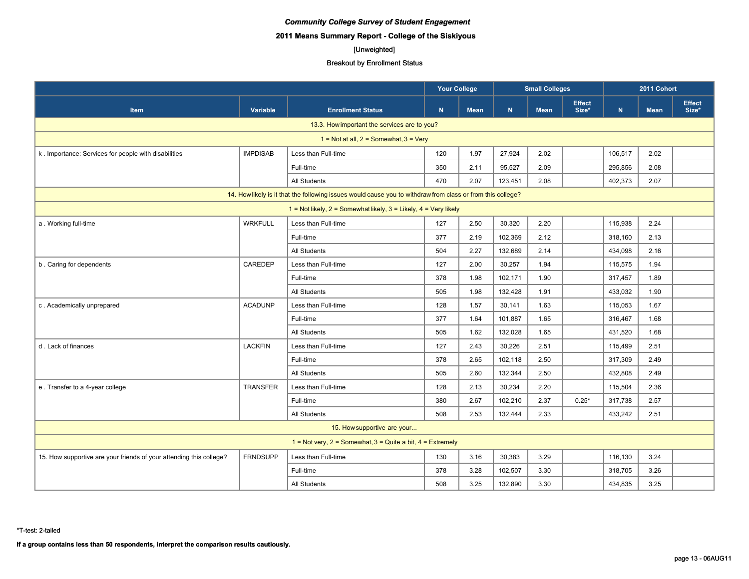# **2011 Means Summary Report - College of the Siskiyous**

# [Unweighted]

|                                                                                                             |                 |                          | <b>Your College</b> |             | <b>Small Colleges</b> |             |                        | 2011 Cohort |             |                        |  |
|-------------------------------------------------------------------------------------------------------------|-----------------|--------------------------|---------------------|-------------|-----------------------|-------------|------------------------|-------------|-------------|------------------------|--|
| <b>Item</b>                                                                                                 | Variable        | <b>Enrollment Status</b> | N                   | <b>Mean</b> | N                     | <b>Mean</b> | <b>Effect</b><br>Size* | $\mathbf N$ | <b>Mean</b> | <b>Effect</b><br>Size* |  |
| 13.3. How important the services are to you?                                                                |                 |                          |                     |             |                       |             |                        |             |             |                        |  |
| $1 = Not at all, 2 = Somewhat, 3 = Very$                                                                    |                 |                          |                     |             |                       |             |                        |             |             |                        |  |
| k. Importance: Services for people with disabilities                                                        | <b>IMPDISAB</b> | Less than Full-time      | 120                 | 1.97        | 27,924                | 2.02        |                        | 106,517     | 2.02        |                        |  |
|                                                                                                             |                 | Full-time                | 350                 | 2.11        | 95,527                | 2.09        |                        | 295,856     | 2.08        |                        |  |
|                                                                                                             |                 | <b>All Students</b>      | 470                 | 2.07        | 123,451               | 2.08        |                        | 402,373     | 2.07        |                        |  |
| 14. How likely is it that the following issues would cause you to withdraw from class or from this college? |                 |                          |                     |             |                       |             |                        |             |             |                        |  |
| 1 = Not likely, $2 =$ Somewhat likely, $3 =$ Likely, $4 =$ Very likely                                      |                 |                          |                     |             |                       |             |                        |             |             |                        |  |
| a. Working full-time                                                                                        | <b>WRKFULL</b>  | Less than Full-time      | 127                 | 2.50        | 30,320                | 2.20        |                        | 115,938     | 2.24        |                        |  |
|                                                                                                             |                 | Full-time                | 377                 | 2.19        | 102,369               | 2.12        |                        | 318,160     | 2.13        |                        |  |
|                                                                                                             |                 | All Students             | 504                 | 2.27        | 132,689               | 2.14        |                        | 434,098     | 2.16        |                        |  |
| b. Caring for dependents                                                                                    | CAREDEP         | Less than Full-time      | 127                 | 2.00        | 30,257                | 1.94        |                        | 115,575     | 1.94        |                        |  |
|                                                                                                             |                 | Full-time                | 378                 | 1.98        | 102,171               | 1.90        |                        | 317,457     | 1.89        |                        |  |
|                                                                                                             |                 | All Students             | 505                 | 1.98        | 132,428               | 1.91        |                        | 433,032     | 1.90        |                        |  |
| c. Academically unprepared                                                                                  | <b>ACADUNP</b>  | Less than Full-time      | 128                 | 1.57        | 30,141                | 1.63        |                        | 115,053     | 1.67        |                        |  |
|                                                                                                             |                 | Full-time                | 377                 | 1.64        | 101,887               | 1.65        |                        | 316,467     | 1.68        |                        |  |
|                                                                                                             |                 | All Students             | 505                 | 1.62        | 132,028               | 1.65        |                        | 431,520     | 1.68        |                        |  |
| d. Lack of finances                                                                                         | <b>LACKFIN</b>  | Less than Full-time      | 127                 | 2.43        | 30,226                | 2.51        |                        | 115,499     | 2.51        |                        |  |
|                                                                                                             |                 | Full-time                | 378                 | 2.65        | 102,118               | 2.50        |                        | 317,309     | 2.49        |                        |  |
|                                                                                                             |                 | All Students             | 505                 | 2.60        | 132,344               | 2.50        |                        | 432,808     | 2.49        |                        |  |
| e. Transfer to a 4-year college                                                                             | <b>TRANSFER</b> | Less than Full-time      | 128                 | 2.13        | 30,234                | 2.20        |                        | 115,504     | 2.36        |                        |  |
|                                                                                                             |                 | Full-time                | 380                 | 2.67        | 102,210               | 2.37        | $0.25*$                | 317,738     | 2.57        |                        |  |
|                                                                                                             |                 | <b>All Students</b>      | 508                 | 2.53        | 132.444               | 2.33        |                        | 433,242     | 2.51        |                        |  |
| 15. How supportive are your                                                                                 |                 |                          |                     |             |                       |             |                        |             |             |                        |  |
| 1 = Not very, $2 =$ Somewhat, $3 =$ Quite a bit, $4 =$ Extremely                                            |                 |                          |                     |             |                       |             |                        |             |             |                        |  |
| 15. How supportive are your friends of your attending this college?                                         | <b>FRNDSUPP</b> | Less than Full-time      | 130                 | 3.16        | 30,383                | 3.29        |                        | 116,130     | 3.24        |                        |  |
|                                                                                                             |                 | Full-time                | 378                 | 3.28        | 102,507               | 3.30        |                        | 318,705     | 3.26        |                        |  |
|                                                                                                             |                 | All Students             | 508                 | 3.25        | 132,890               | 3.30        |                        | 434,835     | 3.25        |                        |  |